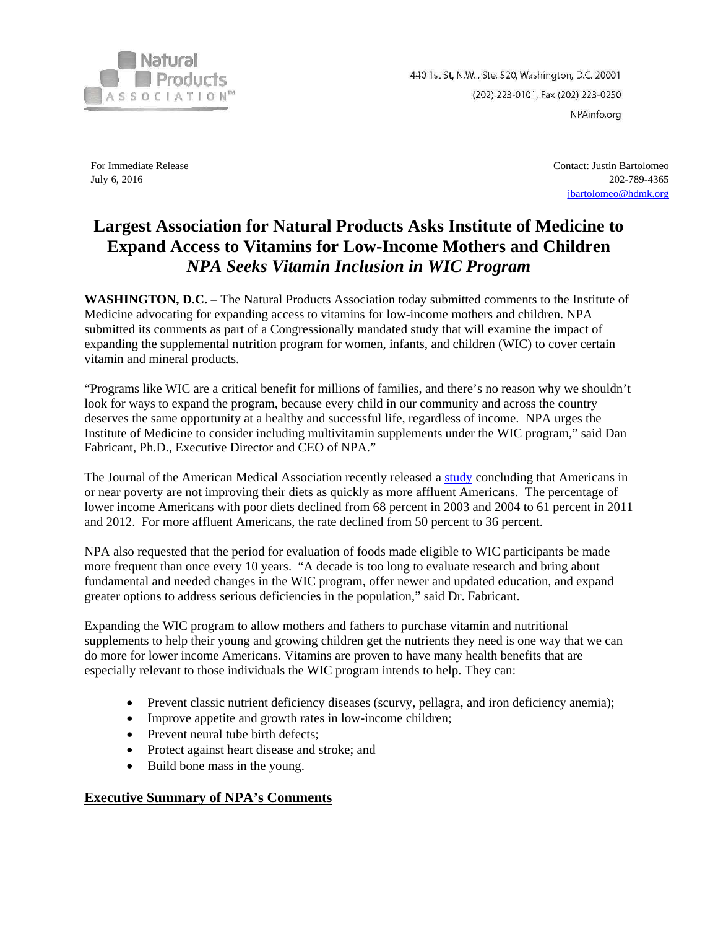

440 1st St, N.W., Ste. 520, Washington, D.C. 20001 (202) 223-0101, Fax (202) 223-0250 NPAinfo.org

For Immediate Release July 6, 2016

Contact: Justin Bartolomeo 202-789-4365 [jbartolomeo@hdmk.org](mailto:jbartolomeo@hdmk.org)

## **Largest Association for Natural Products Asks Institute of Medicine to Expand Access to Vitamins for Low-Income Mothers and Children**  *NPA Seeks Vitamin Inclusion in WIC Program*

**WASHINGTON, D.C.** – The Natural Products Association today submitted comments to the Institute of Medicine advocating for expanding access to vitamins for low-income mothers and children. NPA submitted its comments as part of a Congressionally mandated study that will examine the impact of expanding the supplemental nutrition program for women, infants, and children (WIC) to cover certain vitamin and mineral products.

"Programs like WIC are a critical benefit for millions of families, and there's no reason why we shouldn't look for ways to expand the program, because every child in our community and across the country deserves the same opportunity at a healthy and successful life, regardless of income. NPA urges the Institute of Medicine to consider including multivitamin supplements under the WIC program," said Dan Fabricant, Ph.D., Executive Director and CEO of NPA."

The Journal of the American Medical Association recently released a [study](https://www.washingtonpost.com/news/wonk/wp/2016/06/23/the-difference-between-what-rich-and-poor-americans-eat-is-getting-bigger/) concluding that Americans in or near poverty are not improving their diets as quickly as more affluent Americans. The percentage of lower income Americans with poor diets declined from 68 percent in 2003 and 2004 to 61 percent in 2011 and 2012. For more affluent Americans, the rate declined from 50 percent to 36 percent.

NPA also requested that the period for evaluation of foods made eligible to WIC participants be made more frequent than once every 10 years. "A decade is too long to evaluate research and bring about fundamental and needed changes in the WIC program, offer newer and updated education, and expand greater options to address serious deficiencies in the population," said Dr. Fabricant.

Expanding the WIC program to allow mothers and fathers to purchase vitamin and nutritional supplements to help their young and growing children get the nutrients they need is one way that we can do more for lower income Americans. Vitamins are proven to have many health benefits that are especially relevant to those individuals the WIC program intends to help. They can:

- Prevent classic nutrient deficiency diseases (scurvy, pellagra, and iron deficiency anemia);
- Improve appetite and growth rates in low-income children;
- Prevent neural tube birth defects;
- Protect against heart disease and stroke; and
- Build bone mass in the young.

## **Executive Summary of NPA's Comments**